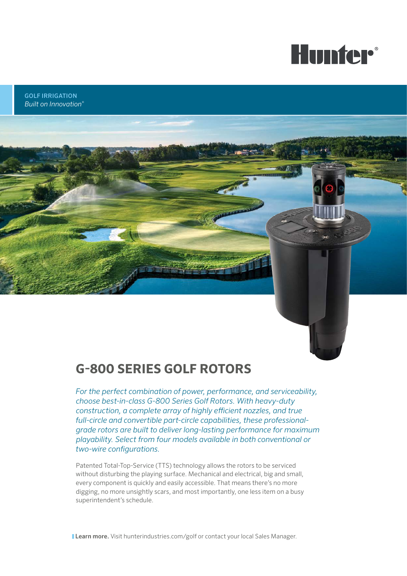

GOLF IRRIGATION *Built on Innovation®*

## **G-800 SERIES GOLF ROTORS**

*For the perfect combination of power, performance, and serviceability, choose best-in-class G-800 Series Golf Rotors. With heavy-duty construction, a complete array of highly efficient nozzles, and true full-circle and convertible part-circle capabilities, these professionalgrade rotors are built to deliver long-lasting performance for maximum playability. Select from four models available in both conventional or two-wire configurations.*

Patented Total-Top-Service (TTS) technology allows the rotors to be serviced without disturbing the playing surface. Mechanical and electrical, big and small, every component is quickly and easily accessible. That means there's no more digging, no more unsightly scars, and most importantly, one less item on a busy superintendent's schedule.

**Learn more.** Visit hunterindustries.com/golf or contact your local Sales Manager.